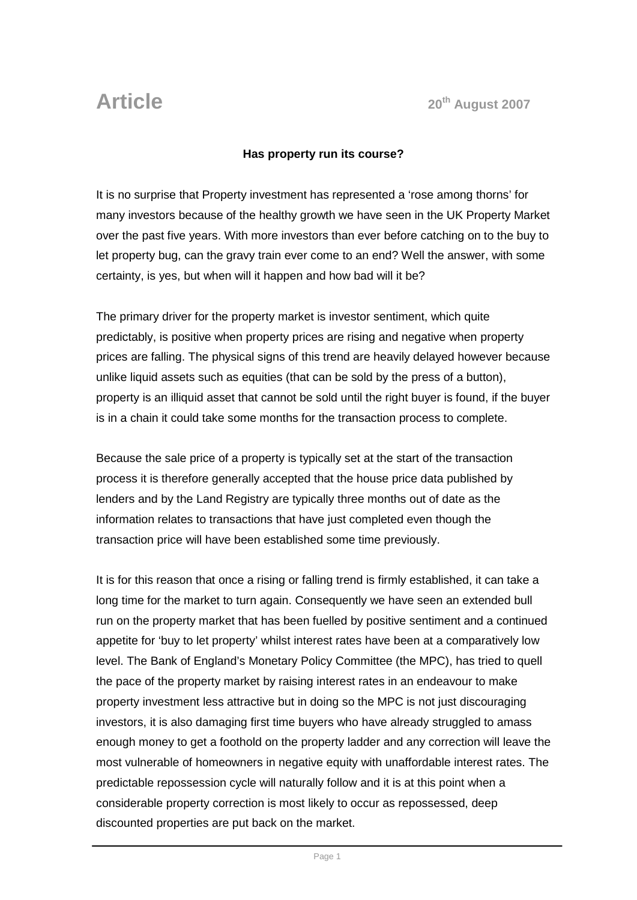## **Has property run its course?**

It is no surprise that Property investment has represented a 'rose among thorns' for many investors because of the healthy growth we have seen in the UK Property Market over the past five years. With more investors than ever before catching on to the buy to let property bug, can the gravy train ever come to an end? Well the answer, with some certainty, is yes, but when will it happen and how bad will it be?

The primary driver for the property market is investor sentiment, which quite predictably, is positive when property prices are rising and negative when property prices are falling. The physical signs of this trend are heavily delayed however because unlike liquid assets such as equities (that can be sold by the press of a button), property is an illiquid asset that cannot be sold until the right buyer is found, if the buyer is in a chain it could take some months for the transaction process to complete.

Because the sale price of a property is typically set at the start of the transaction process it is therefore generally accepted that the house price data published by lenders and by the Land Registry are typically three months out of date as the information relates to transactions that have just completed even though the transaction price will have been established some time previously.

It is for this reason that once a rising or falling trend is firmly established, it can take a long time for the market to turn again. Consequently we have seen an extended bull run on the property market that has been fuelled by positive sentiment and a continued appetite for 'buy to let property' whilst interest rates have been at a comparatively low level. The Bank of England's Monetary Policy Committee (the MPC), has tried to quell the pace of the property market by raising interest rates in an endeavour to make property investment less attractive but in doing so the MPC is not just discouraging investors, it is also damaging first time buyers who have already struggled to amass enough money to get a foothold on the property ladder and any correction will leave the most vulnerable of homeowners in negative equity with unaffordable interest rates. The predictable repossession cycle will naturally follow and it is at this point when a considerable property correction is most likely to occur as repossessed, deep discounted properties are put back on the market.